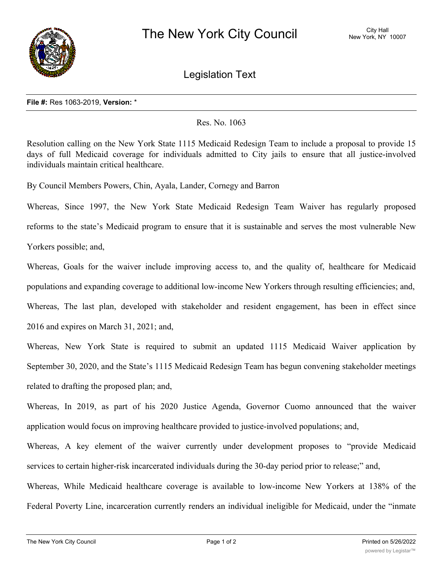

Legislation Text

## **File #:** Res 1063-2019, **Version:** \*

## Res. No. 1063

Resolution calling on the New York State 1115 Medicaid Redesign Team to include a proposal to provide 15 days of full Medicaid coverage for individuals admitted to City jails to ensure that all justice-involved individuals maintain critical healthcare.

By Council Members Powers, Chin, Ayala, Lander, Cornegy and Barron

Whereas, Since 1997, the New York State Medicaid Redesign Team Waiver has regularly proposed reforms to the state's Medicaid program to ensure that it is sustainable and serves the most vulnerable New Yorkers possible; and,

Whereas, Goals for the waiver include improving access to, and the quality of, healthcare for Medicaid populations and expanding coverage to additional low-income New Yorkers through resulting efficiencies; and, Whereas, The last plan, developed with stakeholder and resident engagement, has been in effect since 2016 and expires on March 31, 2021; and,

Whereas, New York State is required to submit an updated 1115 Medicaid Waiver application by September 30, 2020, and the State's 1115 Medicaid Redesign Team has begun convening stakeholder meetings related to drafting the proposed plan; and,

Whereas, In 2019, as part of his 2020 Justice Agenda, Governor Cuomo announced that the waiver application would focus on improving healthcare provided to justice-involved populations; and,

Whereas, A key element of the waiver currently under development proposes to "provide Medicaid services to certain higher-risk incarcerated individuals during the 30-day period prior to release;" and,

Whereas, While Medicaid healthcare coverage is available to low-income New Yorkers at 138% of the Federal Poverty Line, incarceration currently renders an individual ineligible for Medicaid, under the "inmate